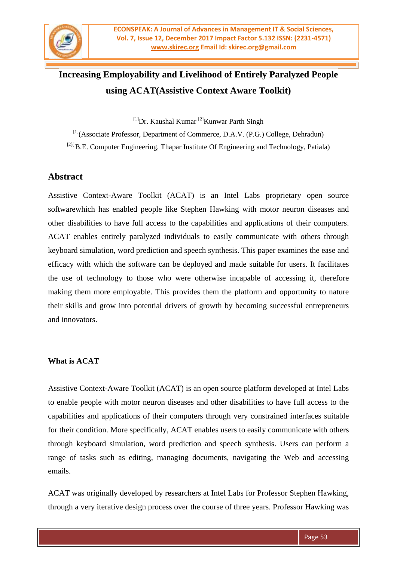

# **Increasing Employability and Livelihood of Entirely Paralyzed People using ACAT(Assistive Context Aware Toolkit)**

 $[1]$ Dr. Kaushal Kumar  $[2]$ Kunwar Parth Singh

[1](Associate Professor, Department of Commerce, D.A.V. (P.G.) College, Dehradun)  $[2]$ <sup>(2)</sup>(B.E. Computer Engineering, Thapar Institute Of Engineering and Technology, Patiala)

## **Abstract**

Assistive Context-Aware Toolkit (ACAT) is an Intel Labs proprietary open source softwarewhich has enabled people like Stephen Hawking with motor neuron diseases and other disabilities to have full access to the capabilities and applications of their computers. ACAT enables entirely paralyzed individuals to easily communicate with others through keyboard simulation, word prediction and speech synthesis. This paper examines the ease and efficacy with which the software can be deployed and made suitable for users. It facilitates the use of technology to those who were otherwise incapable of accessing it, therefore making them more employable. This provides them the platform and opportunity to nature their skills and grow into potential drivers of growth by becoming successful entrepreneurs and innovators.

## **What is ACAT**

Assistive Context-Aware Toolkit (ACAT) is an open source platform developed at Intel Labs to enable people with motor neuron diseases and other disabilities to have full access to the capabilities and applications of their computers through very constrained interfaces suitable for their condition. More specifically, ACAT enables users to easily communicate with others through keyboard simulation, word prediction and speech synthesis. Users can perform a range of tasks such as editing, managing documents, navigating the Web and accessing emails.

ACAT was originally developed by researchers at Intel Labs for Professor Stephen Hawking, through a very iterative design process over the course of three years. Professor Hawking was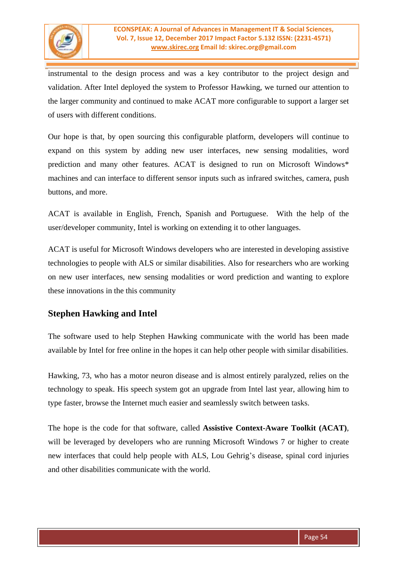

instrumental to the design process and was a key contributor to the project design and validation. After Intel deployed the system to Professor Hawking, we turned our attention to the larger community and continued to make ACAT more configurable to support a larger set of users with different conditions.

Our hope is that, by open sourcing this configurable platform, developers will continue to expand on this system by adding new user interfaces, new sensing modalities, word prediction and many other features. ACAT is designed to run on Microsoft Windows\* machines and can interface to different sensor inputs such as infrared switches, camera, push buttons, and more.

ACAT is available in English, French, Spanish and Portuguese. With the help of the user/developer community, Intel is working on extending it to other languages.

ACAT is useful for Microsoft Windows developers who are interested in developing assistive technologies to people with ALS or similar disabilities. Also for researchers who are working on new user interfaces, new sensing modalities or word prediction and wanting to explore these innovations in the this community

## **Stephen Hawking and Intel**

The software used to help Stephen Hawking communicate with the world has been made available by Intel for free online in the hopes it can help other people with similar disabilities.

Hawking, 73, who has a motor neuron disease and is almost entirely paralyzed, relies on the technology to speak. His speech system got an upgrade from Intel last year, allowing him to type faster, browse the Internet much easier and seamlessly switch between tasks.

The hope is the code for that software, called **Assistive Context-Aware Toolkit (ACAT)**, will be leveraged by developers who are running Microsoft Windows 7 or higher to create new interfaces that could help people with ALS, Lou Gehrig"s disease, spinal cord injuries and other disabilities communicate with the world.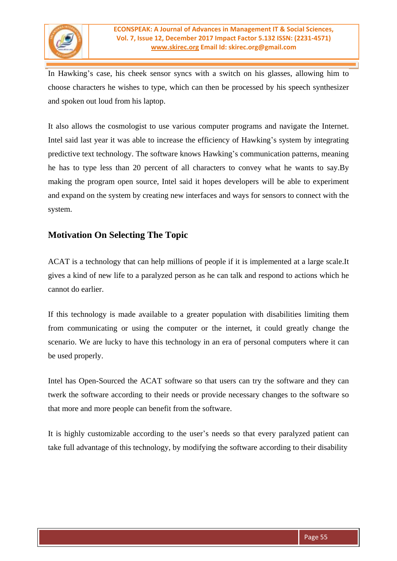

In Hawking's case, his cheek sensor syncs with a switch on his glasses, allowing him to choose characters he wishes to type, which can then be processed by his speech synthesizer and spoken out loud from his laptop.

It also allows the cosmologist to use various computer programs and navigate the Internet. Intel said last year it was able to increase the efficiency of Hawking"s system by integrating predictive text technology. The software knows Hawking's communication patterns, meaning he has to type less than 20 percent of all characters to convey what he wants to say.By making the program open source, Intel said it hopes developers will be able to experiment and expand on the system by creating new interfaces and ways for sensors to connect with the system.

## **Motivation On Selecting The Topic**

ACAT is a technology that can help millions of people if it is implemented at a large scale.It gives a kind of new life to a paralyzed person as he can talk and respond to actions which he cannot do earlier.

If this technology is made available to a greater population with disabilities limiting them from communicating or using the computer or the internet, it could greatly change the scenario. We are lucky to have this technology in an era of personal computers where it can be used properly.

Intel has Open-Sourced the ACAT software so that users can try the software and they can twerk the software according to their needs or provide necessary changes to the software so that more and more people can benefit from the software.

It is highly customizable according to the user"s needs so that every paralyzed patient can take full advantage of this technology, by modifying the software according to their disability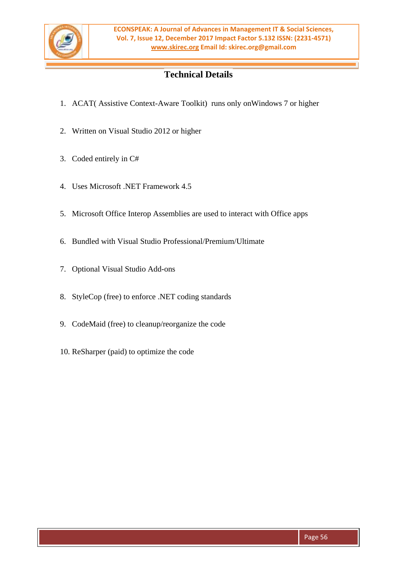

# **Technical Details**

- 1. ACAT( Assistive Context-Aware Toolkit) runs only onWindows 7 or higher
- 2. Written on Visual Studio 2012 or higher
- 3. Coded entirely in C#
- 4. Uses Microsoft .NET Framework 4.5
- 5. Microsoft Office Interop Assemblies are used to interact with Office apps
- 6. Bundled with Visual Studio Professional/Premium/Ultimate
- 7. Optional Visual Studio Add-ons
- 8. StyleCop (free) to enforce .NET coding standards
- 9. CodeMaid (free) to cleanup/reorganize the code
- 10. ReSharper (paid) to optimize the code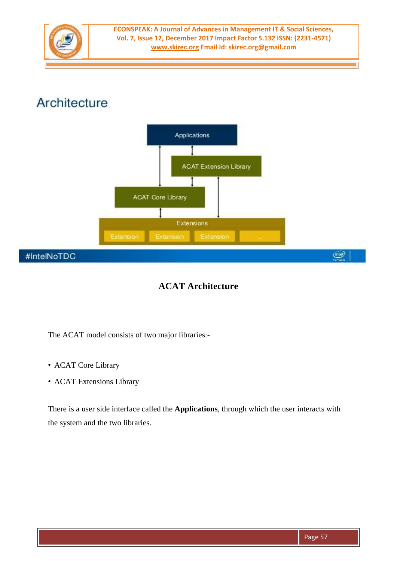

# Architecture



# **ACAT Architecture**

The ACAT model consists of two major libraries:-

- ACAT Core Library
- ACAT Extensions Library

There is a user side interface called the **Applications**, through which the user interacts with the system and the two libraries.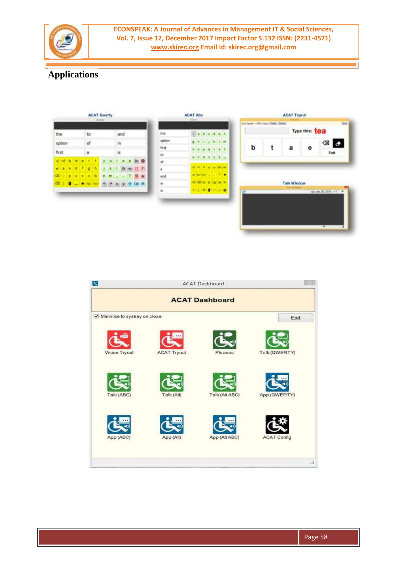

# **Applications**



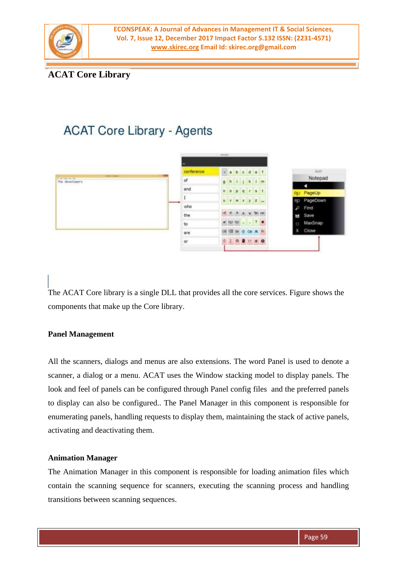

# **ACAT Core Library**

# **ACAT Core Library - Agents**



The ACAT Core library is a single DLL that provides all the core services. Figure shows the components that make up the Core library.

#### **Panel Management**

All the scanners, dialogs and menus are also extensions. The word Panel is used to denote a scanner, a dialog or a menu. ACAT uses the Window stacking model to display panels. The look and feel of panels can be configured through Panel config files and the preferred panels to display can also be configured.. The Panel Manager in this component is responsible for enumerating panels, handling requests to display them, maintaining the stack of active panels, activating and deactivating them.

#### **Animation Manager**

The Animation Manager in this component is responsible for loading animation files which contain the scanning sequence for scanners, executing the scanning process and handling transitions between scanning sequences.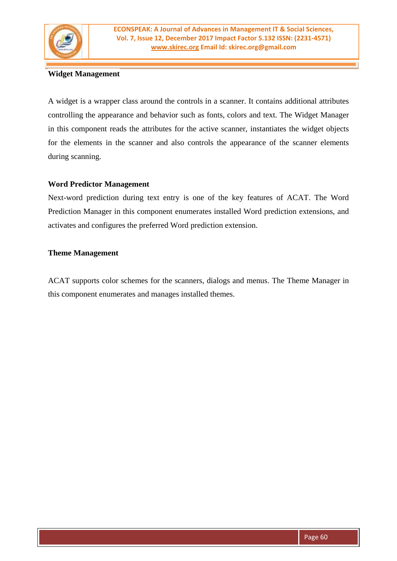

## **Widget Management**

A widget is a wrapper class around the controls in a scanner. It contains additional attributes controlling the appearance and behavior such as fonts, colors and text. The Widget Manager in this component reads the attributes for the active scanner, instantiates the widget objects for the elements in the scanner and also controls the appearance of the scanner elements during scanning.

## **Word Predictor Management**

Next-word prediction during text entry is one of the key features of ACAT. The Word Prediction Manager in this component enumerates installed Word prediction extensions, and activates and configures the preferred Word prediction extension.

### **Theme Management**

ACAT supports color schemes for the scanners, dialogs and menus. The Theme Manager in this component enumerates and manages installed themes.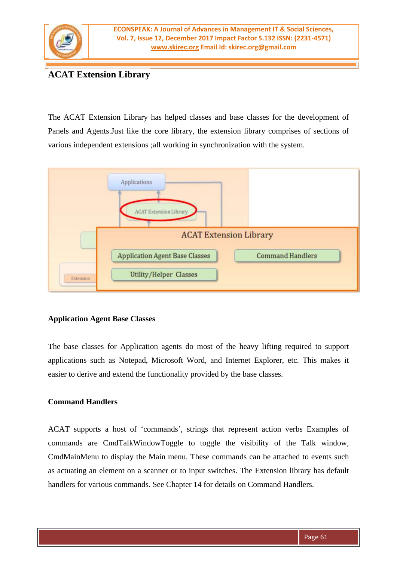

# **ACAT Extension Library**

The ACAT Extension Library has helped classes and base classes for the development of Panels and Agents.Just like the core library, the extension library comprises of sections of various independent extensions ;all working in synchronization with the system.



#### **Application Agent Base Classes**

The base classes for Application agents do most of the heavy lifting required to support applications such as Notepad, Microsoft Word, and Internet Explorer, etc. This makes it easier to derive and extend the functionality provided by the base classes.

## **Command Handlers**

ACAT supports a host of "commands", strings that represent action verbs Examples of commands are CmdTalkWindowToggle to toggle the visibility of the Talk window, CmdMainMenu to display the Main menu. These commands can be attached to events such as actuating an element on a scanner or to input switches. The Extension library has default handlers for various commands. See Chapter 14 for details on Command Handlers.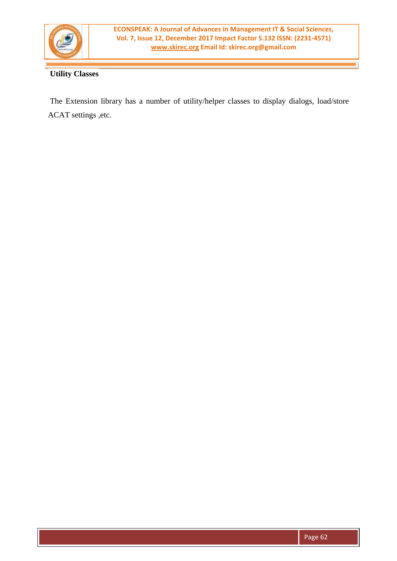

## **Utility Classes**

The Extension library has a number of utility/helper classes to display dialogs, load/store ACAT settings ,etc.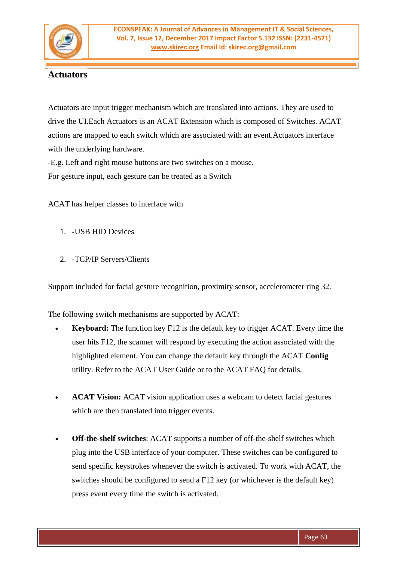

## **Actuators**

Actuators are input trigger mechanism which are translated into actions. They are used to drive the UI.Each Actuators is an ACAT Extension which is composed of Switches. ACAT actions are mapped to each switch which are associated with an event.Actuators interface with the underlying hardware.

-E.g. Left and right mouse buttons are two switches on a mouse.

For gesture input, each gesture can be treated as a Switch

ACAT has helper classes to interface with

- 1. -USB HID Devices
- 2. -TCP/IP Servers/Clients

Support included for facial gesture recognition, proximity sensor, accelerometer ring 32.

The following switch mechanisms are supported by ACAT:

- **• Keyboard:** The function key F12 is the default key to trigger ACAT. Every time the user hits F12, the scanner will respond by executing the action associated with the highlighted element. You can change the default key through the ACAT **Config** utility. Refer to the ACAT User Guide or to the ACAT FAQ for details.
- **• ACAT Vision:** ACAT vision application uses a webcam to detect facial gestures which are then translated into trigger events.
- **• Off-the-shelf switches**: ACAT supports a number of off-the-shelf switches which plug into the USB interface of your computer. These switches can be configured to send specific keystrokes whenever the switch is activated. To work with ACAT, the switches should be configured to send a F12 key (or whichever is the default key) press event every time the switch is activated.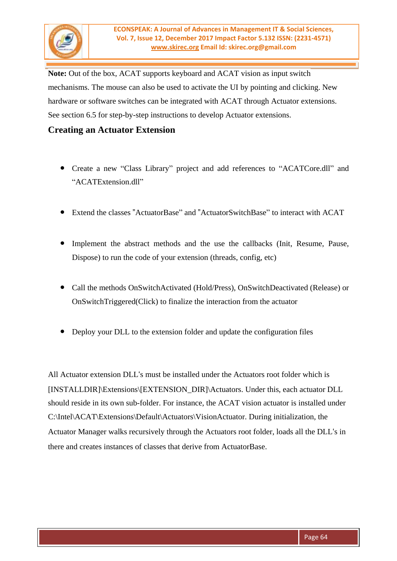

**Note:** Out of the box, ACAT supports keyboard and ACAT vision as input switch mechanisms. The mouse can also be used to activate the UI by pointing and clicking. New hardware or software switches can be integrated with ACAT through Actuator extensions. See section 6.5 for step-by-step instructions to develop Actuator extensions.

## **Creating an Actuator Extension**

- Create a new "Class Library" project and add references to "ACATCore.dll" and "ACATExtension.dll"
- Extend the classes "ActuatorBase" and "ActuatorSwitchBase" to interact with ACAT
- Implement the abstract methods and the use the callbacks (Init, Resume, Pause, Dispose) to run the code of your extension (threads, config, etc)
- Call the methods OnSwitchActivated (Hold/Press), OnSwitchDeactivated (Release) or OnSwitchTriggered(Click) to finalize the interaction from the actuator
- Deploy your DLL to the extension folder and update the configuration files

All Actuator extension DLL's must be installed under the Actuators root folder which is [INSTALLDIR]\Extensions\[EXTENSION\_DIR]\Actuators. Under this, each actuator DLL should reside in its own sub-folder. For instance, the ACAT vision actuator is installed under C:\Intel\ACAT\Extensions\Default\Actuators\VisionActuator. During initialization, the Actuator Manager walks recursively through the Actuators root folder, loads all the DLL's in there and creates instances of classes that derive from ActuatorBase.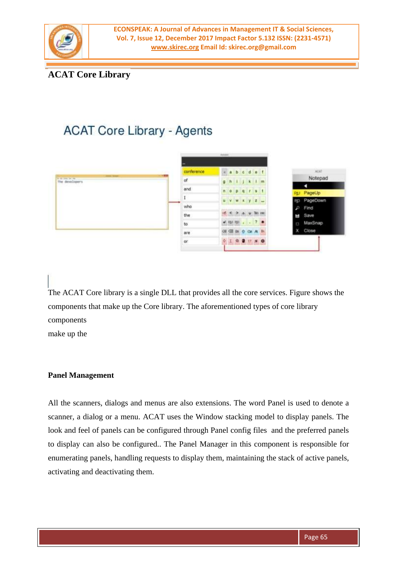

# **ACAT Core Library**

# **ACAT Core Library - Agents**



The ACAT Core library is a single DLL that provides all the core services. Figure shows the components that make up the Core library. The aforementioned types of core library components

make up the

## **Panel Management**

All the scanners, dialogs and menus are also extensions. The word Panel is used to denote a scanner, a dialog or a menu. ACAT uses the Window stacking model to display panels. The look and feel of panels can be configured through Panel config files and the preferred panels to display can also be configured.. The Panel Manager in this component is responsible for enumerating panels, handling requests to display them, maintaining the stack of active panels, activating and deactivating them.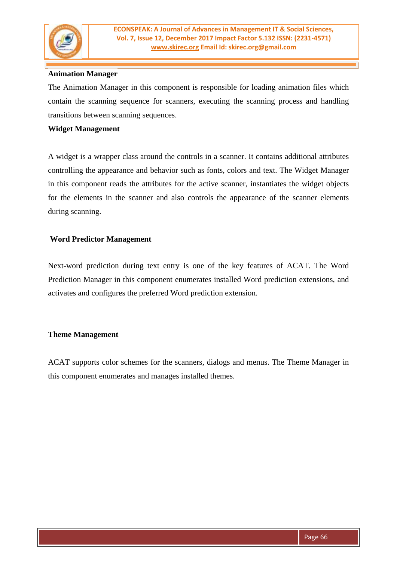

### **Animation Manager**

The Animation Manager in this component is responsible for loading animation files which contain the scanning sequence for scanners, executing the scanning process and handling transitions between scanning sequences.

#### **Widget Management**

A widget is a wrapper class around the controls in a scanner. It contains additional attributes controlling the appearance and behavior such as fonts, colors and text. The Widget Manager in this component reads the attributes for the active scanner, instantiates the widget objects for the elements in the scanner and also controls the appearance of the scanner elements during scanning.

#### **Word Predictor Management**

Next-word prediction during text entry is one of the key features of ACAT. The Word Prediction Manager in this component enumerates installed Word prediction extensions, and activates and configures the preferred Word prediction extension.

#### **Theme Management**

ACAT supports color schemes for the scanners, dialogs and menus. The Theme Manager in this component enumerates and manages installed themes.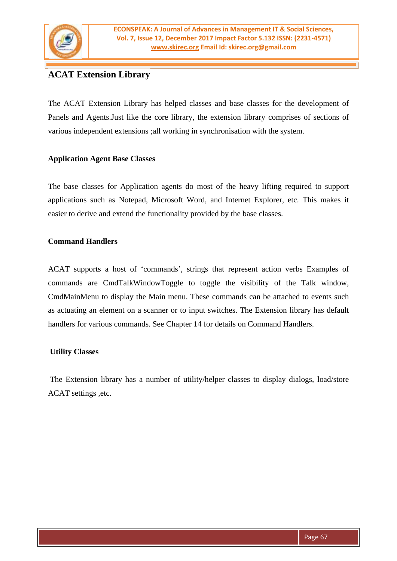

# **ACAT Extension Library**

The ACAT Extension Library has helped classes and base classes for the development of Panels and Agents.Just like the core library, the extension library comprises of sections of various independent extensions ;all working in synchronisation with the system.

## **Application Agent Base Classes**

The base classes for Application agents do most of the heavy lifting required to support applications such as Notepad, Microsoft Word, and Internet Explorer, etc. This makes it easier to derive and extend the functionality provided by the base classes.

### **Command Handlers**

ACAT supports a host of "commands", strings that represent action verbs Examples of commands are CmdTalkWindowToggle to toggle the visibility of the Talk window, CmdMainMenu to display the Main menu. These commands can be attached to events such as actuating an element on a scanner or to input switches. The Extension library has default handlers for various commands. See Chapter 14 for details on Command Handlers.

## **Utility Classes**

The Extension library has a number of utility/helper classes to display dialogs, load/store ACAT settings ,etc.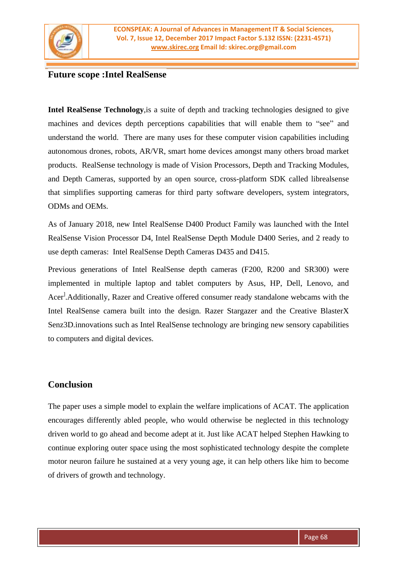

## **Future scope :Intel RealSense**

**Intel RealSense Technology**,is a suite of depth and tracking technologies designed to give machines and devices depth perceptions capabilities that will enable them to "see" and understand the world. There are many uses for these computer vision capabilities including autonomous drones, robots, AR/VR, smart home devices amongst many others broad market products. RealSense technology is made of Vision Processors, Depth and Tracking Modules, and Depth Cameras, supported by an open source, cross-platform SDK called librealsense that simplifies supporting cameras for third party software developers, system integrators, ODMs and OEMs.

As of January 2018, new Intel RealSense D400 Product Family was launched with the Intel RealSense Vision Processor D4, Intel RealSense Depth Module D400 Series, and 2 ready to use depth cameras: Intel RealSense Depth Cameras D435 and D415.

Previous generations of Intel RealSense depth cameras (F200, R200 and SR300) were implemented in multiple laptop and tablet computers by Asus, HP, Dell, Lenovo, and Acer<sup>]</sup>.Additionally, Razer and Creative offered consumer ready standalone webcams with the Intel RealSense camera built into the design. Razer Stargazer and the Creative BlasterX Senz3D.innovations such as Intel RealSense technology are bringing new sensory capabilities to computers and digital devices.

## **Conclusion**

The paper uses a simple model to explain the welfare implications of ACAT. The application encourages differently abled people, who would otherwise be neglected in this technology driven world to go ahead and become adept at it. Just like ACAT helped Stephen Hawking to continue exploring outer space using the most sophisticated technology despite the complete motor neuron failure he sustained at a very young age, it can help others like him to become of drivers of growth and technology.